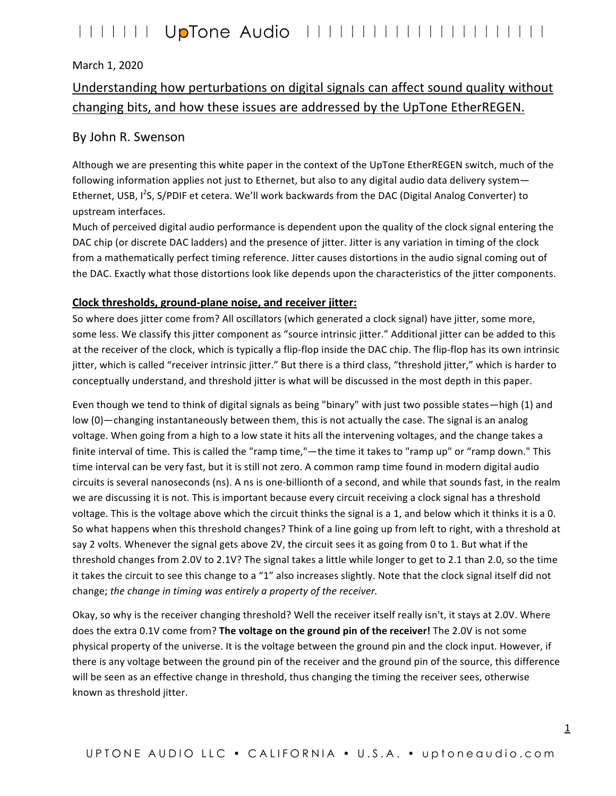### March 1, 2020

### Understanding how perturbations on digital signals can affect sound quality without changing bits, and how these issues are addressed by the UpTone EtherREGEN.

### By John R. Swenson

Although we are presenting this white paper in the context of the UpTone EtherREGEN switch, much of the following information applies not just to Ethernet, but also to any digital audio data delivery system— Ethernet, USB, I<sup>2</sup>S, S/PDIF et cetera. We'll work backwards from the DAC (Digital Analog Converter) to upstream interfaces. 

Much of perceived digital audio performance is dependent upon the quality of the clock signal entering the DAC chip (or discrete DAC ladders) and the presence of jitter. Jitter is any variation in timing of the clock from a mathematically perfect timing reference. Jitter causes distortions in the audio signal coming out of the DAC. Exactly what those distortions look like depends upon the characteristics of the jitter components.

#### **Clock thresholds, ground-plane noise, and receiver jitter:**

So where does jitter come from? All oscillators (which generated a clock signal) have jitter, some more, some less. We classify this jitter component as "source intrinsic jitter." Additional jitter can be added to this at the receiver of the clock, which is typically a flip-flop inside the DAC chip. The flip-flop has its own intrinsic jitter, which is called "receiver intrinsic jitter." But there is a third class, "threshold jitter," which is harder to conceptually understand, and threshold jitter is what will be discussed in the most depth in this paper.

Even though we tend to think of digital signals as being "binary" with just two possible states—high (1) and low (0)—changing instantaneously between them, this is not actually the case. The signal is an analog voltage. When going from a high to a low state it hits all the intervening voltages, and the change takes a finite interval of time. This is called the "ramp time,"—the time it takes to "ramp up" or "ramp down." This time interval can be very fast, but it is still not zero. A common ramp time found in modern digital audio circuits is several nanoseconds (ns). A ns is one-billionth of a second, and while that sounds fast, in the realm we are discussing it is not. This is important because every circuit receiving a clock signal has a threshold voltage. This is the voltage above which the circuit thinks the signal is a 1, and below which it thinks it is a 0. So what happens when this threshold changes? Think of a line going up from left to right, with a threshold at say 2 volts. Whenever the signal gets above 2V, the circuit sees it as going from 0 to 1. But what if the threshold changes from 2.0V to 2.1V? The signal takes a little while longer to get to 2.1 than 2.0, so the time it takes the circuit to see this change to a "1" also increases slightly. Note that the clock signal itself did not change; the change in timing was entirely a property of the receiver.

Okay, so why is the receiver changing threshold? Well the receiver itself really isn't, it stays at 2.0V. Where does the extra 0.1V come from? The voltage on the ground pin of the receiver! The 2.0V is not some physical property of the universe. It is the voltage between the ground pin and the clock input. However, if there is any voltage between the ground pin of the receiver and the ground pin of the source, this difference will be seen as an effective change in threshold, thus changing the timing the receiver sees, otherwise known as threshold jitter.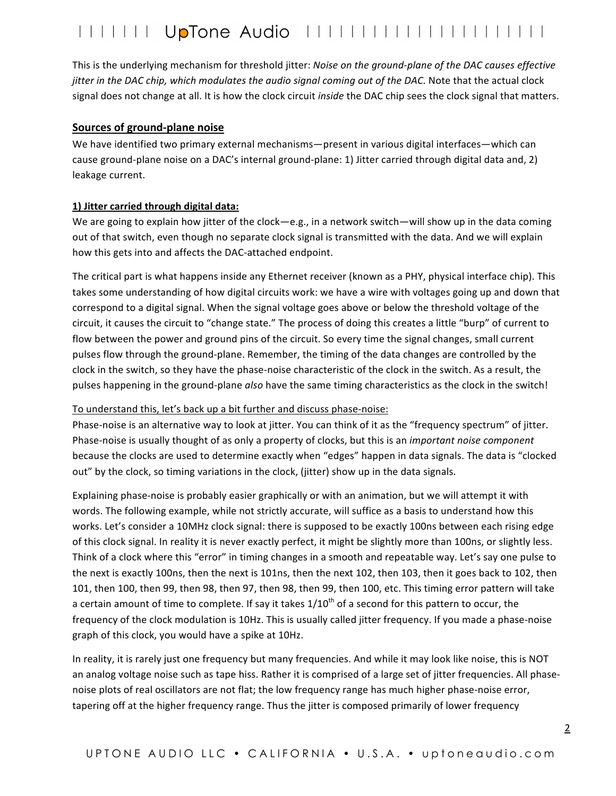This is the underlying mechanism for threshold jitter: *Noise on the ground-plane of the DAC causes effective jitter in the DAC chip, which modulates the audio signal coming out of the DAC.* Note that the actual clock signal does not change at all. It is how the clock circuit *inside* the DAC chip sees the clock signal that matters.

#### **Sources of ground-plane noise**

We have identified two primary external mechanisms—present in various digital interfaces—which can cause ground-plane noise on a DAC's internal ground-plane: 1) Jitter carried through digital data and, 2) leakage current.

#### **1) Jitter carried through digital data:**

We are going to explain how jitter of the clock—e.g., in a network switch—will show up in the data coming out of that switch, even though no separate clock signal is transmitted with the data. And we will explain how this gets into and affects the DAC-attached endpoint.

The critical part is what happens inside any Ethernet receiver (known as a PHY, physical interface chip). This takes some understanding of how digital circuits work: we have a wire with voltages going up and down that correspond to a digital signal. When the signal voltage goes above or below the threshold voltage of the circuit, it causes the circuit to "change state." The process of doing this creates a little "burp" of current to flow between the power and ground pins of the circuit. So every time the signal changes, small current pulses flow through the ground-plane. Remember, the timing of the data changes are controlled by the clock in the switch, so they have the phase-noise characteristic of the clock in the switch. As a result, the pulses happening in the ground-plane *also* have the same timing characteristics as the clock in the switch!

#### To understand this, let's back up a bit further and discuss phase-noise:

Phase-noise is an alternative way to look at jitter. You can think of it as the "frequency spectrum" of jitter. Phase-noise is usually thought of as only a property of clocks, but this is an *important noise component* because the clocks are used to determine exactly when "edges" happen in data signals. The data is "clocked out" by the clock, so timing variations in the clock, (jitter) show up in the data signals.

Explaining phase-noise is probably easier graphically or with an animation, but we will attempt it with words. The following example, while not strictly accurate, will suffice as a basis to understand how this works. Let's consider a 10MHz clock signal: there is supposed to be exactly 100ns between each rising edge of this clock signal. In reality it is never exactly perfect, it might be slightly more than 100ns, or slightly less. Think of a clock where this "error" in timing changes in a smooth and repeatable way. Let's say one pulse to the next is exactly 100ns, then the next is 101ns, then the next 102, then 103, then it goes back to 102, then 101, then 100, then 99, then 98, then 97, then 98, then 99, then 100, etc. This timing error pattern will take a certain amount of time to complete. If say it takes  $1/10^{th}$  of a second for this pattern to occur, the frequency of the clock modulation is 10Hz. This is usually called jitter frequency. If you made a phase-noise graph of this clock, you would have a spike at 10Hz.

In reality, it is rarely just one frequency but many frequencies. And while it may look like noise, this is NOT an analog voltage noise such as tape hiss. Rather it is comprised of a large set of jitter frequencies. All phasenoise plots of real oscillators are not flat; the low frequency range has much higher phase-noise error, tapering off at the higher frequency range. Thus the jitter is composed primarily of lower frequency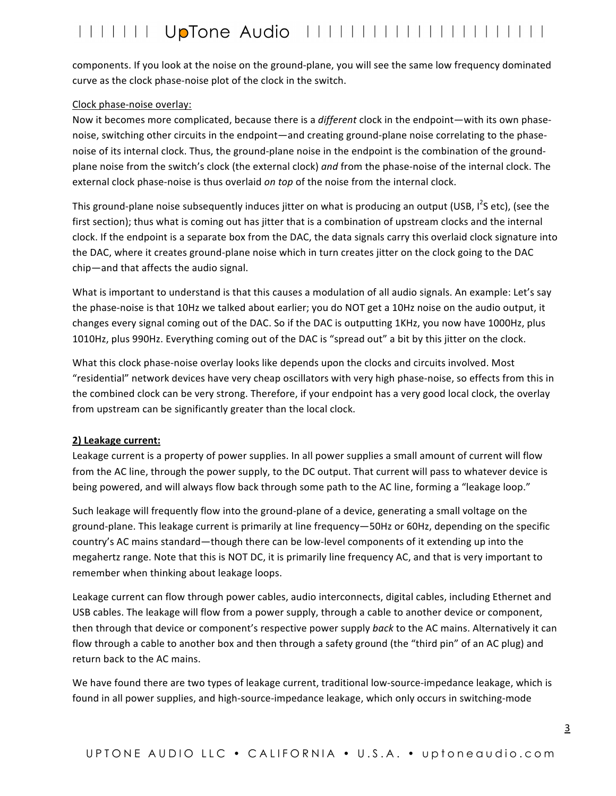components. If you look at the noise on the ground-plane, you will see the same low frequency dominated curve as the clock phase-noise plot of the clock in the switch.

#### Clock phase-noise overlay:

Now it becomes more complicated, because there is a *different* clock in the endpoint—with its own phasenoise, switching other circuits in the endpoint—and creating ground-plane noise correlating to the phasenoise of its internal clock. Thus, the ground-plane noise in the endpoint is the combination of the groundplane noise from the switch's clock (the external clock) and from the phase-noise of the internal clock. The external clock phase-noise is thus overlaid *on top* of the noise from the internal clock.

This ground-plane noise subsequently induces jitter on what is producing an output (USB, I<sup>2</sup>S etc), (see the first section); thus what is coming out has jitter that is a combination of upstream clocks and the internal clock. If the endpoint is a separate box from the DAC, the data signals carry this overlaid clock signature into the DAC, where it creates ground-plane noise which in turn creates jitter on the clock going to the DAC chip—and that affects the audio signal.

What is important to understand is that this causes a modulation of all audio signals. An example: Let's say the phase-noise is that 10Hz we talked about earlier; you do NOT get a 10Hz noise on the audio output, it changes every signal coming out of the DAC. So if the DAC is outputting 1KHz, you now have 1000Hz, plus 1010Hz, plus 990Hz. Everything coming out of the DAC is "spread out" a bit by this jitter on the clock.

What this clock phase-noise overlay looks like depends upon the clocks and circuits involved. Most "residential" network devices have very cheap oscillators with very high phase-noise, so effects from this in the combined clock can be very strong. Therefore, if your endpoint has a very good local clock, the overlay from upstream can be significantly greater than the local clock.

#### **2)** Leakage current:

Leakage current is a property of power supplies. In all power supplies a small amount of current will flow from the AC line, through the power supply, to the DC output. That current will pass to whatever device is being powered, and will always flow back through some path to the AC line, forming a "leakage loop."

Such leakage will frequently flow into the ground-plane of a device, generating a small voltage on the ground-plane. This leakage current is primarily at line frequency—50Hz or 60Hz, depending on the specific country's AC mains standard—though there can be low-level components of it extending up into the megahertz range. Note that this is NOT DC, it is primarily line frequency AC, and that is very important to remember when thinking about leakage loops.

Leakage current can flow through power cables, audio interconnects, digital cables, including Ethernet and USB cables. The leakage will flow from a power supply, through a cable to another device or component, then through that device or component's respective power supply *back* to the AC mains. Alternatively it can flow through a cable to another box and then through a safety ground (the "third pin" of an AC plug) and return back to the AC mains.

We have found there are two types of leakage current, traditional low-source-impedance leakage, which is found in all power supplies, and high-source-impedance leakage, which only occurs in switching-mode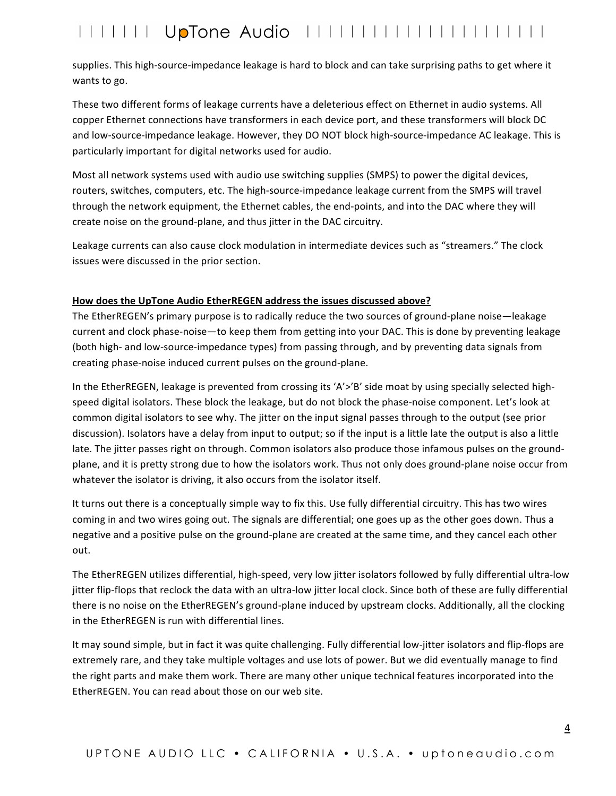supplies. This high-source-impedance leakage is hard to block and can take surprising paths to get where it wants to go.

These two different forms of leakage currents have a deleterious effect on Ethernet in audio systems. All copper Ethernet connections have transformers in each device port, and these transformers will block DC and low-source-impedance leakage. However, they DO NOT block high-source-impedance AC leakage. This is particularly important for digital networks used for audio.

Most all network systems used with audio use switching supplies (SMPS) to power the digital devices, routers, switches, computers, etc. The high-source-impedance leakage current from the SMPS will travel through the network equipment, the Ethernet cables, the end-points, and into the DAC where they will create noise on the ground-plane, and thus jitter in the DAC circuitry.

Leakage currents can also cause clock modulation in intermediate devices such as "streamers." The clock issues were discussed in the prior section.

#### How does the UpTone Audio EtherREGEN address the issues discussed above?

The EtherREGEN's primary purpose is to radically reduce the two sources of ground-plane noise—leakage current and clock phase-noise—to keep them from getting into your DAC. This is done by preventing leakage (both high- and low-source-impedance types) from passing through, and by preventing data signals from creating phase-noise induced current pulses on the ground-plane.

In the EtherREGEN, leakage is prevented from crossing its 'A'>'B' side moat by using specially selected highspeed digital isolators. These block the leakage, but do not block the phase-noise component. Let's look at common digital isolators to see why. The jitter on the input signal passes through to the output (see prior discussion). Isolators have a delay from input to output; so if the input is a little late the output is also a little late. The jitter passes right on through. Common isolators also produce those infamous pulses on the groundplane, and it is pretty strong due to how the isolators work. Thus not only does ground-plane noise occur from whatever the isolator is driving, it also occurs from the isolator itself.

It turns out there is a conceptually simple way to fix this. Use fully differential circuitry. This has two wires coming in and two wires going out. The signals are differential; one goes up as the other goes down. Thus a negative and a positive pulse on the ground-plane are created at the same time, and they cancel each other out.

The EtherREGEN utilizes differential, high-speed, very low jitter isolators followed by fully differential ultra-low jitter flip-flops that reclock the data with an ultra-low jitter local clock. Since both of these are fully differential there is no noise on the EtherREGEN's ground-plane induced by upstream clocks. Additionally, all the clocking in the EtherREGEN is run with differential lines.

It may sound simple, but in fact it was quite challenging. Fully differential low-jitter isolators and flip-flops are extremely rare, and they take multiple voltages and use lots of power. But we did eventually manage to find the right parts and make them work. There are many other unique technical features incorporated into the EtherREGEN. You can read about those on our web site.